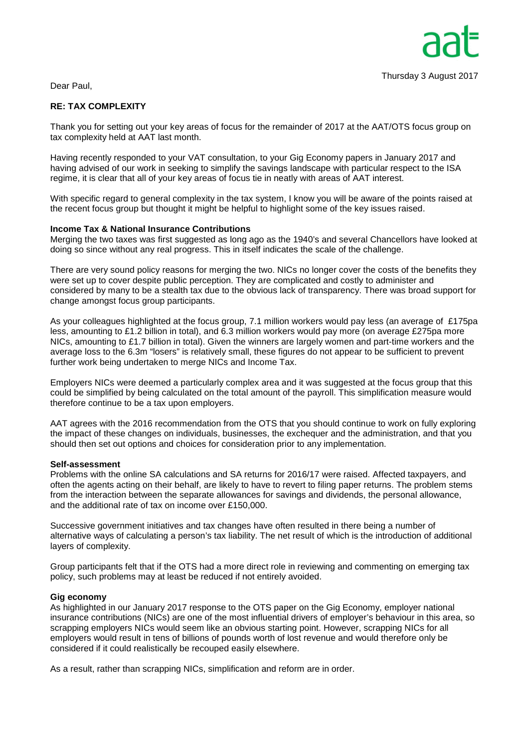Dear Paul,

# **RE: TAX COMPLEXITY**

Thank you for setting out your key areas of focus for the remainder of 2017 at the AAT/OTS focus group on tax complexity held at AAT last month.

Having recently responded to your VAT consultation, to your Gig Economy papers in January 2017 and having advised of our work in seeking to simplify the savings landscape with particular respect to the ISA regime, it is clear that all of your key areas of focus tie in neatly with areas of AAT interest.

With specific regard to general complexity in the tax system, I know you will be aware of the points raised at the recent focus group but thought it might be helpful to highlight some of the key issues raised.

## **Income Tax & National Insurance Contributions**

Merging the two taxes was first suggested as long ago as the 1940's and several Chancellors have looked at doing so since without any real progress. This in itself indicates the scale of the challenge.

There are very sound policy reasons for merging the two. NICs no longer cover the costs of the benefits they were set up to cover despite public perception. They are complicated and costly to administer and considered by many to be a stealth tax due to the obvious lack of transparency. There was broad support for change amongst focus group participants.

As your colleagues highlighted at the focus group, 7.1 million workers would pay less (an average of £175pa less, amounting to £1.2 billion in total), and 6.3 million workers would pay more (on average £275pa more NICs, amounting to £1.7 billion in total). Given the winners are largely women and part-time workers and the average loss to the 6.3m "losers" is relatively small, these figures do not appear to be sufficient to prevent further work being undertaken to merge NICs and Income Tax.

Employers NICs were deemed a particularly complex area and it was suggested at the focus group that this could be simplified by being calculated on the total amount of the payroll. This simplification measure would therefore continue to be a tax upon employers.

AAT agrees with the 2016 recommendation from the OTS that you should continue to work on fully exploring the impact of these changes on individuals, businesses, the exchequer and the administration, and that you should then set out options and choices for consideration prior to any implementation.

#### **Self-assessment**

Problems with the online SA calculations and SA returns for 2016/17 were raised. Affected taxpayers, and often the agents acting on their behalf, are likely to have to revert to filing paper returns. The problem stems from the interaction between the separate allowances for savings and dividends, the personal allowance, and the additional rate of tax on income over £150,000.

Successive government initiatives and tax changes have often resulted in there being a number of alternative ways of calculating a person's tax liability. The net result of which is the introduction of additional layers of complexity.

Group participants felt that if the OTS had a more direct role in reviewing and commenting on emerging tax policy, such problems may at least be reduced if not entirely avoided.

#### **Gig economy**

As highlighted in our January 2017 response to the OTS paper on the Gig Economy, employer national insurance contributions (NICs) are one of the most influential drivers of employer's behaviour in this area, so scrapping employers NICs would seem like an obvious starting point. However, scrapping NICs for all employers would result in tens of billions of pounds worth of lost revenue and would therefore only be considered if it could realistically be recouped easily elsewhere.

As a result, rather than scrapping NICs, simplification and reform are in order.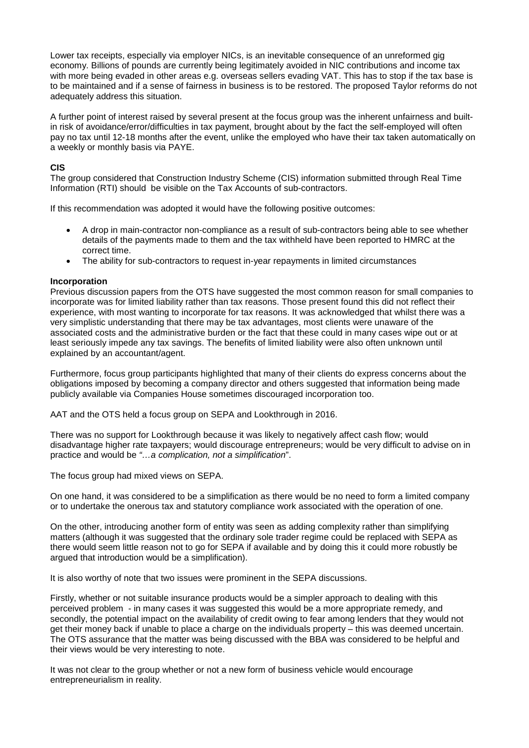Lower tax receipts, especially via employer NICs, is an inevitable consequence of an unreformed gig economy. Billions of pounds are currently being legitimately avoided in NIC contributions and income tax with more being evaded in other areas e.g. overseas sellers evading VAT. This has to stop if the tax base is to be maintained and if a sense of fairness in business is to be restored. The proposed Taylor reforms do not adequately address this situation.

A further point of interest raised by several present at the focus group was the inherent unfairness and builtin risk of avoidance/error/difficulties in tax payment, brought about by the fact the self-employed will often pay no tax until 12-18 months after the event, unlike the employed who have their tax taken automatically on a weekly or monthly basis via PAYE.

## **CIS**

The group considered that Construction Industry Scheme (CIS) information submitted through Real Time Information (RTI) should be visible on the Tax Accounts of sub-contractors.

If this recommendation was adopted it would have the following positive outcomes:

- A drop in main-contractor non-compliance as a result of sub-contractors being able to see whether details of the payments made to them and the tax withheld have been reported to HMRC at the correct time.
- The ability for sub-contractors to request in-year repayments in limited circumstances

## **Incorporation**

Previous discussion papers from the OTS have suggested the most common reason for small companies to incorporate was for limited liability rather than tax reasons. Those present found this did not reflect their experience, with most wanting to incorporate for tax reasons. It was acknowledged that whilst there was a very simplistic understanding that there may be tax advantages, most clients were unaware of the associated costs and the administrative burden or the fact that these could in many cases wipe out or at least seriously impede any tax savings. The benefits of limited liability were also often unknown until explained by an accountant/agent.

Furthermore, focus group participants highlighted that many of their clients do express concerns about the obligations imposed by becoming a company director and others suggested that information being made publicly available via Companies House sometimes discouraged incorporation too.

AAT and the OTS held a focus group on SEPA and Lookthrough in 2016.

There was no support for Lookthrough because it was likely to negatively affect cash flow; would disadvantage higher rate taxpayers; would discourage entrepreneurs; would be very difficult to advise on in practice and would be *"…a complication, not a simplification*".

The focus group had mixed views on SEPA.

On one hand, it was considered to be a simplification as there would be no need to form a limited company or to undertake the onerous tax and statutory compliance work associated with the operation of one.

On the other, introducing another form of entity was seen as adding complexity rather than simplifying matters (although it was suggested that the ordinary sole trader regime could be replaced with SEPA as there would seem little reason not to go for SEPA if available and by doing this it could more robustly be argued that introduction would be a simplification).

It is also worthy of note that two issues were prominent in the SEPA discussions.

Firstly, whether or not suitable insurance products would be a simpler approach to dealing with this perceived problem - in many cases it was suggested this would be a more appropriate remedy, and secondly, the potential impact on the availability of credit owing to fear among lenders that they would not get their money back if unable to place a charge on the individuals property – this was deemed uncertain. The OTS assurance that the matter was being discussed with the BBA was considered to be helpful and their views would be very interesting to note.

It was not clear to the group whether or not a new form of business vehicle would encourage entrepreneurialism in reality.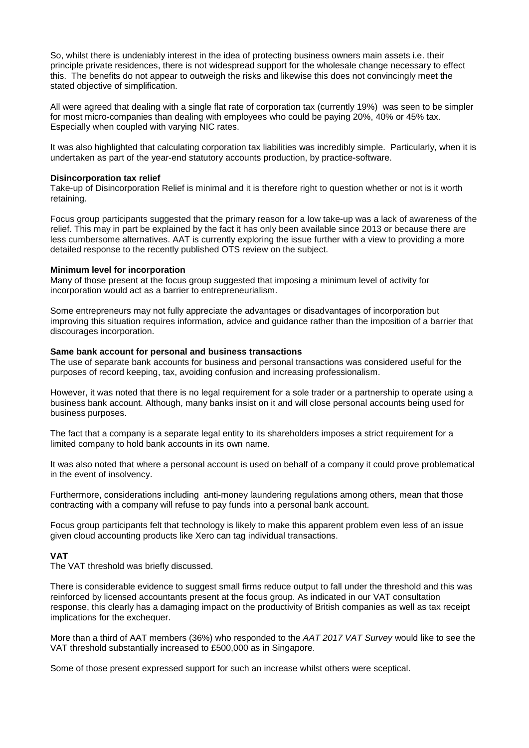So, whilst there is undeniably interest in the idea of protecting business owners main assets i.e. their principle private residences, there is not widespread support for the wholesale change necessary to effect this. The benefits do not appear to outweigh the risks and likewise this does not convincingly meet the stated objective of simplification.

All were agreed that dealing with a single flat rate of corporation tax (currently 19%) was seen to be simpler for most micro-companies than dealing with employees who could be paying 20%, 40% or 45% tax. Especially when coupled with varying NIC rates.

It was also highlighted that calculating corporation tax liabilities was incredibly simple. Particularly, when it is undertaken as part of the year-end statutory accounts production, by practice-software.

#### **Disincorporation tax relief**

Take-up of Disincorporation Relief is minimal and it is therefore right to question whether or not is it worth retaining.

Focus group participants suggested that the primary reason for a low take-up was a lack of awareness of the relief. This may in part be explained by the fact it has only been available since 2013 or because there are less cumbersome alternatives. AAT is currently exploring the issue further with a view to providing a more detailed response to the recently published OTS review on the subject.

## **Minimum level for incorporation**

Many of those present at the focus group suggested that imposing a minimum level of activity for incorporation would act as a barrier to entrepreneurialism.

Some entrepreneurs may not fully appreciate the advantages or disadvantages of incorporation but improving this situation requires information, advice and guidance rather than the imposition of a barrier that discourages incorporation.

#### **Same bank account for personal and business transactions**

The use of separate bank accounts for business and personal transactions was considered useful for the purposes of record keeping, tax, avoiding confusion and increasing professionalism.

However, it was noted that there is no legal requirement for a sole trader or a partnership to operate using a business bank account. Although, many banks insist on it and will close personal accounts being used for business purposes.

The fact that a company is a separate legal entity to its shareholders imposes a strict requirement for a limited company to hold bank accounts in its own name.

It was also noted that where a personal account is used on behalf of a company it could prove problematical in the event of insolvency.

Furthermore, considerations including anti-money laundering regulations among others, mean that those contracting with a company will refuse to pay funds into a personal bank account.

Focus group participants felt that technology is likely to make this apparent problem even less of an issue given cloud accounting products like Xero can tag individual transactions.

## **VAT**

The VAT threshold was briefly discussed.

There is considerable evidence to suggest small firms reduce output to fall under the threshold and this was reinforced by licensed accountants present at the focus group. As indicated in our VAT consultation response, this clearly has a damaging impact on the productivity of British companies as well as tax receipt implications for the exchequer.

More than a third of AAT members (36%) who responded to the *AAT 2017 VAT Survey* would like to see the VAT threshold substantially increased to £500,000 as in Singapore.

Some of those present expressed support for such an increase whilst others were sceptical.